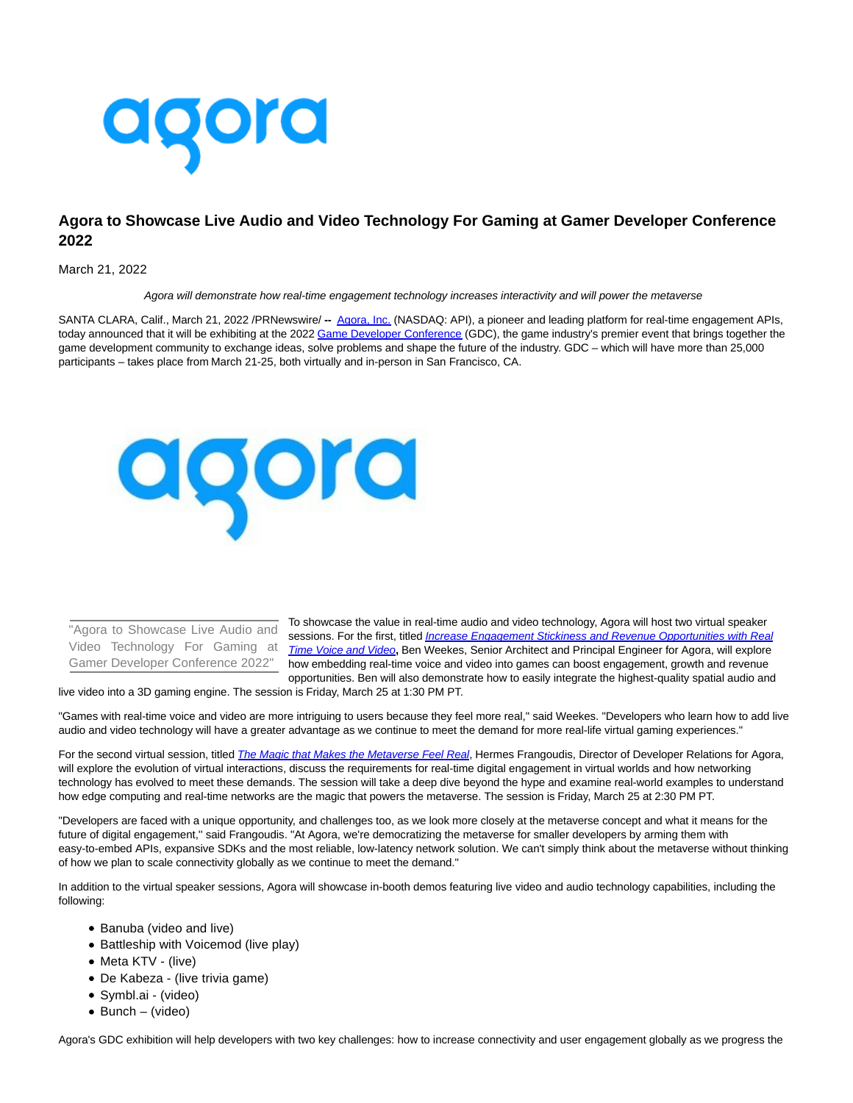

## **Agora to Showcase Live Audio and Video Technology For Gaming at Gamer Developer Conference 2022**

March 21, 2022

Agora will demonstrate how real-time engagement technology increases interactivity and will power the metaverse

SANTA CLARA, Calif., March 21, 2022 /PRNewswire/ **--** [Agora, Inc. \(](https://c212.net/c/link/?t=0&l=en&o=3478072-1&h=900799003&u=https%3A%2F%2Fwww.agora.io%2Fen%2F&a=Agora%2C+Inc.)NASDAQ: API), a pioneer and leading platform for real-time engagement APIs, today announced that it will be exhibiting at the 2022 [Game Developer Conference \(](https://c212.net/c/link/?t=0&l=en&o=3478072-1&h=1853922720&u=https%3A%2F%2Fgdconf.com%2F&a=Game+Developer+Conference)GDC), the game industry's premier event that brings together the game development community to exchange ideas, solve problems and shape the future of the industry. GDC – which will have more than 25,000 participants – takes place from March 21-25, both virtually and in-person in San Francisco, CA.



"Agora to Showcase Live Audio and Video Technology For Gaming at Gamer Developer Conference 2022"

To showcase the value in real-time audio and video technology, Agora will host two virtual speaker sessions. For the first, titled *[Increase Engagement Stickiness and Revenue Opportunities with Real](https://c212.net/c/link/?t=0&l=en&o=3478072-1&h=3650099340&u=https%3A%2F%2Fschedule.gdconf.com%2Fsession%2Fincrease-engagement-stickiness-and-revenue-opportunities-with-real-time-voice-and-video-presented-by-agora%2F885609%3F_mc%3Dblog_x_gdcsfr_un_x_gdcsf_x_x-1&a=Increase+Engagement+Stickiness+and+Revenue+Opportunities+with+Real+Time+Voice+and+Video)* Time Voice and Video**,** Ben Weekes, Senior Architect and Principal Engineer for Agora, will explore how embedding real-time voice and video into games can boost engagement, growth and revenue opportunities. Ben will also demonstrate how to easily integrate the highest-quality spatial audio and

live video into a 3D gaming engine. The session is Friday, March 25 at 1:30 PM PT.

"Games with real-time voice and video are more intriguing to users because they feel more real," said Weekes. "Developers who learn how to add live audio and video technology will have a greater advantage as we continue to meet the demand for more real-life virtual gaming experiences."

For the second virtual session, titled *[The Magic that Makes the Metaverse Feel Real](https://c212.net/c/link/?t=0&l=en&o=3478072-1&h=1985820101&u=https%3A%2F%2Fschedule.gdconf.com%2Fsession%2Fthe-magic-that-makes-the-metaverse-feel-real-presented-by-agora%2F886717%3F_mc%3Dblog_x_gdcsfr_un_x_gdcsf_x_x-1&a=The+Magic+that+Makes+the+Metaverse+Feel+Real)*, Hermes Frangoudis, Director of Developer Relations for Agora, will explore the evolution of virtual interactions, discuss the requirements for real-time digital engagement in virtual worlds and how networking technology has evolved to meet these demands. The session will take a deep dive beyond the hype and examine real-world examples to understand how edge computing and real-time networks are the magic that powers the metaverse. The session is Friday, March 25 at 2:30 PM PT.

"Developers are faced with a unique opportunity, and challenges too, as we look more closely at the metaverse concept and what it means for the future of digital engagement,'' said Frangoudis. "At Agora, we're democratizing the metaverse for smaller developers by arming them with easy-to-embed APIs, expansive SDKs and the most reliable, low-latency network solution. We can't simply think about the metaverse without thinking of how we plan to scale connectivity globally as we continue to meet the demand."

In addition to the virtual speaker sessions, Agora will showcase in-booth demos featuring live video and audio technology capabilities, including the following:

- Banuba (video and live)
- Battleship with Voicemod (live play)
- Meta KTV (live)
- De Kabeza (live trivia game)
- Symbl.ai (video)
- $\bullet$  Bunch (video)

Agora's GDC exhibition will help developers with two key challenges: how to increase connectivity and user engagement globally as we progress the